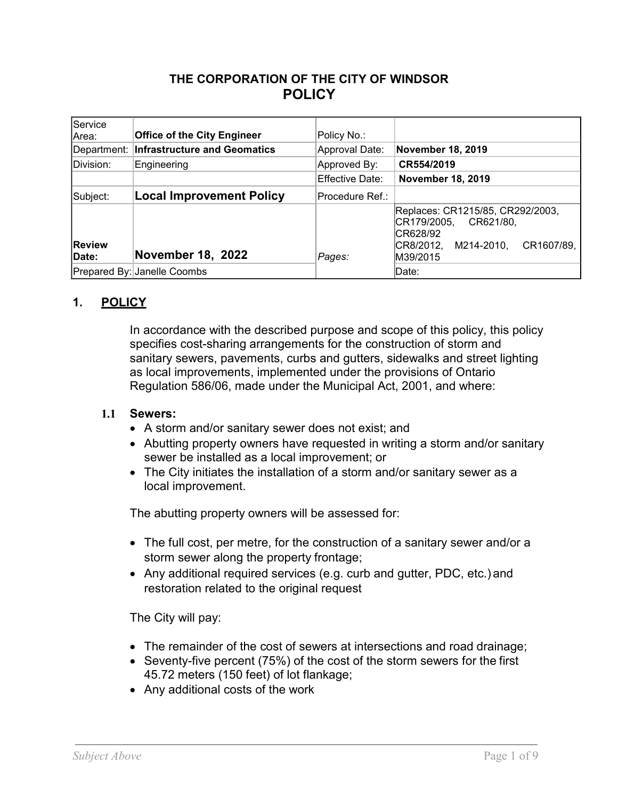# **THE CORPORATION OF THE CITY OF WINDSOR POLICY**

| Service<br>Area:               | <b>Office of the City Engineer</b>       | Policy No.:     |                                                                                                                               |
|--------------------------------|------------------------------------------|-----------------|-------------------------------------------------------------------------------------------------------------------------------|
|                                | Department: Infrastructure and Geomatics | Approval Date:  | November 18, 2019                                                                                                             |
| Division:                      | Engineering                              | Approved By:    | CR554/2019                                                                                                                    |
|                                |                                          | Effective Date: | <b>November 18, 2019</b>                                                                                                      |
| Subject:                       | <b>Local Improvement Policy</b>          | Procedure Ref.: |                                                                                                                               |
| <b>Review</b><br><b>IDate:</b> | November 18, 2022                        | Pages:          | Replaces: CR1215/85, CR292/2003,<br>CR179/2005,<br>CR621/80,<br>CR628/92<br>CR1607/89,<br>M214-2010,<br>CR8/2012,<br>M39/2015 |
|                                | Prepared By: Janelle Coombs              |                 | Date:                                                                                                                         |

# **1. POLICY**

In accordance with the described purpose and scope of this policy, this policy specifies cost-sharing arrangements for the construction of storm and sanitary sewers, pavements, curbs and gutters, sidewalks and street lighting as local improvements, implemented under the provisions of Ontario Regulation 586/06, made under the Municipal Act, 2001, and where:

### **1.1 Sewers:**

- A storm and/or sanitary sewer does not exist; and
- Abutting property owners have requested in writing a storm and/or sanitary sewer be installed as a local improvement; or
- The City initiates the installation of a storm and/or sanitary sewer as a local improvement.

The abutting property owners will be assessed for:

- The full cost, per metre, for the construction of a sanitary sewer and/or a storm sewer along the property frontage;
- Any additional required services (e.g. curb and gutter, PDC, etc.) and restoration related to the original request

The City will pay:

- The remainder of the cost of sewers at intersections and road drainage;
- Seventy-five percent (75%) of the cost of the storm sewers for the first 45.72 meters (150 feet) of lot flankage;
- Any additional costs of the work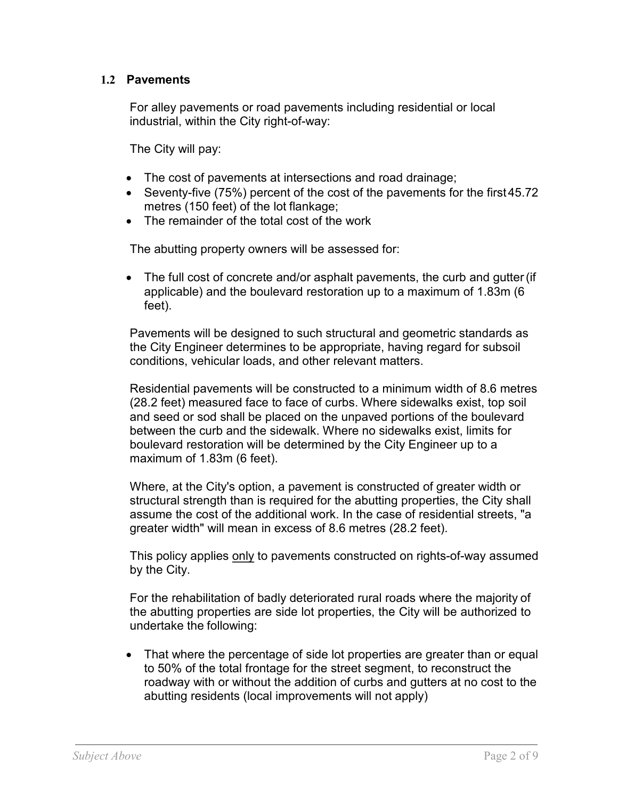### **1.2 Pavements**

For alley pavements or road pavements including residential or local industrial, within the City right-of-way:

The City will pay:

- The cost of pavements at intersections and road drainage;
- Seventy-five (75%) percent of the cost of the pavements for the first 45.72 metres (150 feet) of the lot flankage;
- The remainder of the total cost of the work

The abutting property owners will be assessed for:

• The full cost of concrete and/or asphalt pavements, the curb and gutter (if applicable) and the boulevard restoration up to a maximum of 1.83m (6 feet).

Pavements will be designed to such structural and geometric standards as the City Engineer determines to be appropriate, having regard for subsoil conditions, vehicular loads, and other relevant matters.

Residential pavements will be constructed to a minimum width of 8.6 metres (28.2 feet) measured face to face of curbs. Where sidewalks exist, top soil and seed or sod shall be placed on the unpaved portions of the boulevard between the curb and the sidewalk. Where no sidewalks exist, limits for boulevard restoration will be determined by the City Engineer up to a maximum of 1.83m (6 feet).

Where, at the City's option, a pavement is constructed of greater width or structural strength than is required for the abutting properties, the City shall assume the cost of the additional work. In the case of residential streets, "a greater width" will mean in excess of 8.6 metres (28.2 feet).

This policy applies only to pavements constructed on rights-of-way assumed by the City.

For the rehabilitation of badly deteriorated rural roads where the majority of the abutting properties are side lot properties, the City will be authorized to undertake the following:

• That where the percentage of side lot properties are greater than or equal to 50% of the total frontage for the street segment, to reconstruct the roadway with or without the addition of curbs and gutters at no cost to the abutting residents (local improvements will not apply)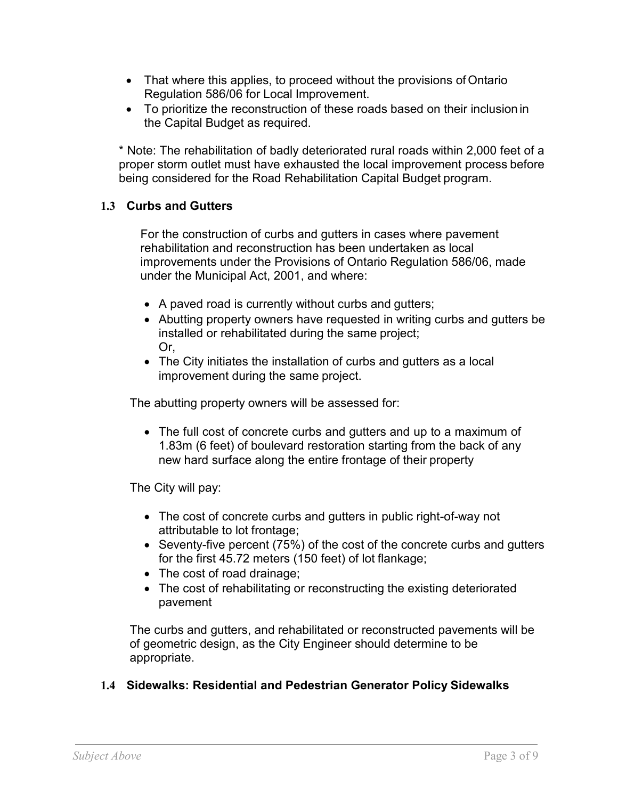- That where this applies, to proceed without the provisions of Ontario Regulation 586/06 for Local Improvement.
- To prioritize the reconstruction of these roads based on their inclusion in the Capital Budget as required.

\* Note: The rehabilitation of badly deteriorated rural roads within 2,000 feet of a proper storm outlet must have exhausted the local improvement process before being considered for the Road Rehabilitation Capital Budget program.

# **1.3 Curbs and Gutters**

For the construction of curbs and gutters in cases where pavement rehabilitation and reconstruction has been undertaken as local improvements under the Provisions of Ontario Regulation 586/06, made under the Municipal Act, 2001, and where:

- A paved road is currently without curbs and gutters;
- Abutting property owners have requested in writing curbs and gutters be installed or rehabilitated during the same project; Or,
- The City initiates the installation of curbs and gutters as a local improvement during the same project.

The abutting property owners will be assessed for:

• The full cost of concrete curbs and gutters and up to a maximum of 1.83m (6 feet) of boulevard restoration starting from the back of any new hard surface along the entire frontage of their property

The City will pay:

- The cost of concrete curbs and gutters in public right-of-way not attributable to lot frontage;
- Seventy-five percent (75%) of the cost of the concrete curbs and gutters for the first 45.72 meters (150 feet) of lot flankage;
- The cost of road drainage;
- The cost of rehabilitating or reconstructing the existing deteriorated pavement

The curbs and gutters, and rehabilitated or reconstructed pavements will be of geometric design, as the City Engineer should determine to be appropriate.

## **1.4 Sidewalks: Residential and Pedestrian Generator Policy Sidewalks**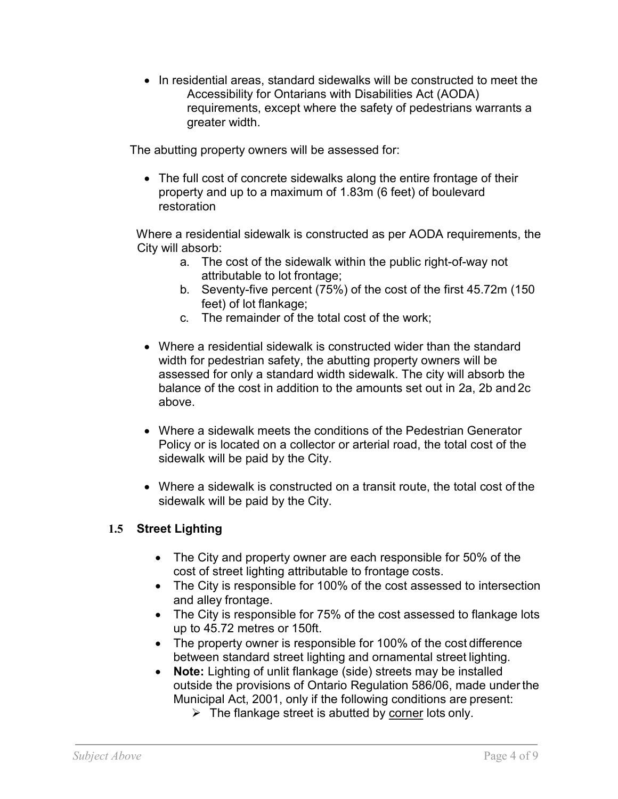• In residential areas, standard sidewalks will be constructed to meet the Accessibility for Ontarians with Disabilities Act (AODA) requirements, except where the safety of pedestrians warrants a greater width.

The abutting property owners will be assessed for:

• The full cost of concrete sidewalks along the entire frontage of their property and up to a maximum of 1.83m (6 feet) of boulevard restoration

Where a residential sidewalk is constructed as per AODA requirements, the City will absorb:

- a. The cost of the sidewalk within the public right-of-way not attributable to lot frontage;
- b. Seventy-five percent (75%) of the cost of the first 45.72m (150 feet) of lot flankage;
- c. The remainder of the total cost of the work;
- Where a residential sidewalk is constructed wider than the standard width for pedestrian safety, the abutting property owners will be assessed for only a standard width sidewalk. The city will absorb the balance of the cost in addition to the amounts set out in 2a, 2b and 2c above.
- Where a sidewalk meets the conditions of the Pedestrian Generator Policy or is located on a collector or arterial road, the total cost of the sidewalk will be paid by the City.
- Where a sidewalk is constructed on a transit route, the total cost of the sidewalk will be paid by the City.

# **1.5 Street Lighting**

- The City and property owner are each responsible for 50% of the cost of street lighting attributable to frontage costs.
- The City is responsible for 100% of the cost assessed to intersection and alley frontage.
- The City is responsible for 75% of the cost assessed to flankage lots up to 45.72 metres or 150ft.
- The property owner is responsible for 100% of the cost difference between standard street lighting and ornamental street lighting.
- **Note:** Lighting of unlit flankage (side) streets may be installed outside the provisions of Ontario Regulation 586/06, made under the Municipal Act, 2001, only if the following conditions are present:
	- $\triangleright$  The flankage street is abutted by corner lots only.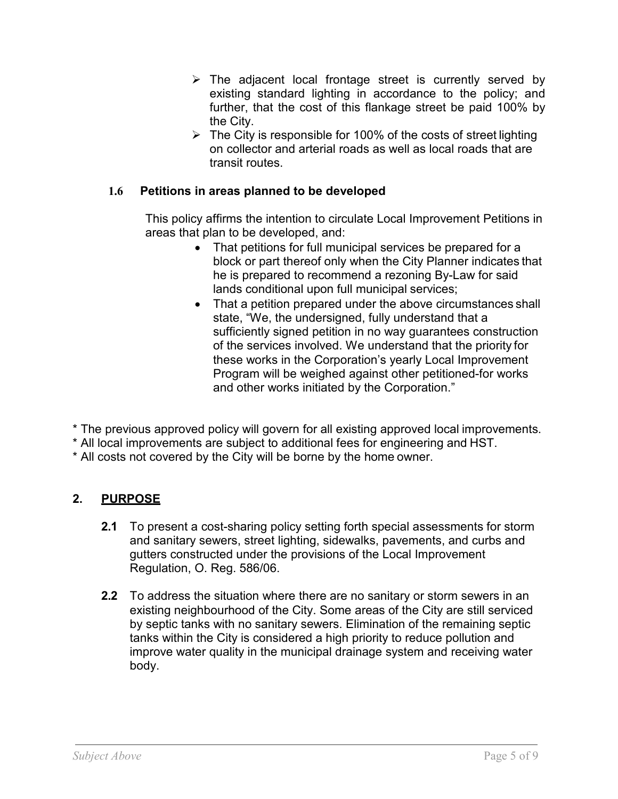- $\triangleright$  The adjacent local frontage street is currently served by existing standard lighting in accordance to the policy; and further, that the cost of this flankage street be paid 100% by the City.
- $\triangleright$  The City is responsible for 100% of the costs of street lighting on collector and arterial roads as well as local roads that are transit routes.

# **1.6 Petitions in areas planned to be developed**

This policy affirms the intention to circulate Local Improvement Petitions in areas that plan to be developed, and:

- That petitions for full municipal services be prepared for a block or part thereof only when the City Planner indicates that he is prepared to recommend a rezoning By-Law for said lands conditional upon full municipal services;
- That a petition prepared under the above circumstances shall state, "We, the undersigned, fully understand that a sufficiently signed petition in no way guarantees construction of the services involved. We understand that the priority for these works in the Corporation's yearly Local Improvement Program will be weighed against other petitioned-for works and other works initiated by the Corporation."

\* The previous approved policy will govern for all existing approved local improvements.

\* All local improvements are subject to additional fees for engineering and HST.

\* All costs not covered by the City will be borne by the home owner.

# **2. PURPOSE**

- **2.1** To present a cost-sharing policy setting forth special assessments for storm and sanitary sewers, street lighting, sidewalks, pavements, and curbs and gutters constructed under the provisions of the Local Improvement Regulation, O. Reg. 586/06.
- **2.2** To address the situation where there are no sanitary or storm sewers in an existing neighbourhood of the City. Some areas of the City are still serviced by septic tanks with no sanitary sewers. Elimination of the remaining septic tanks within the City is considered a high priority to reduce pollution and improve water quality in the municipal drainage system and receiving water body.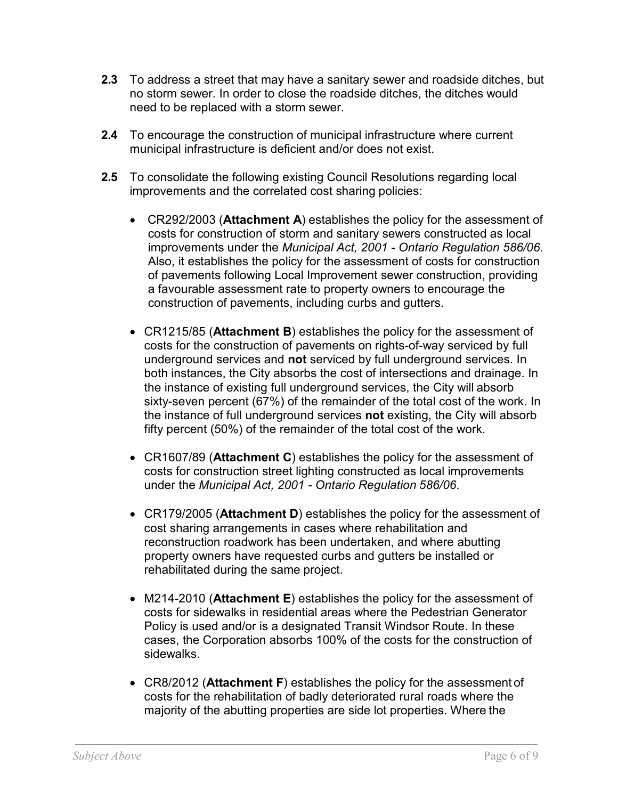- **2.3** To address a street that may have a sanitary sewer and roadside ditches, but no storm sewer. In order to close the roadside ditches, the ditches would need to be replaced with a storm sewer.
- **2.4** To encourage the construction of municipal infrastructure where current municipal infrastructure is deficient and/or does not exist.
- **2.5** To consolidate the following existing Council Resolutions regarding local improvements and the correlated cost sharing policies:
	- CR292/2003 (**Attachment A**) establishes the policy for the assessment of costs for construction of storm and sanitary sewers constructed as local improvements under the *Municipal Act, 2001 - Ontario Regulation 586/06*. Also, it establishes the policy for the assessment of costs for construction of pavements following Local Improvement sewer construction, providing a favourable assessment rate to property owners to encourage the construction of pavements, including curbs and gutters.
	- CR1215/85 (**Attachment B**) establishes the policy for the assessment of costs for the construction of pavements on rights-of-way serviced by full underground services and **not** serviced by full underground services. In both instances, the City absorbs the cost of intersections and drainage. In the instance of existing full underground services, the City will absorb sixty-seven percent (67%) of the remainder of the total cost of the work. In the instance of full underground services **not** existing, the City will absorb fifty percent (50%) of the remainder of the total cost of the work.
	- CR1607/89 (**Attachment C**) establishes the policy for the assessment of costs for construction street lighting constructed as local improvements under the *Municipal Act, 2001 - Ontario Regulation 586/06*.
	- CR179/2005 (**Attachment D**) establishes the policy for the assessment of cost sharing arrangements in cases where rehabilitation and reconstruction roadwork has been undertaken, and where abutting property owners have requested curbs and gutters be installed or rehabilitated during the same project.
	- M214-2010 (**Attachment E**) establishes the policy for the assessment of costs for sidewalks in residential areas where the Pedestrian Generator Policy is used and/or is a designated Transit Windsor Route. In these cases, the Corporation absorbs 100% of the costs for the construction of sidewalks.
	- CR8/2012 (**Attachment F**) establishes the policy for the assessment of costs for the rehabilitation of badly deteriorated rural roads where the majority of the abutting properties are side lot properties. Where the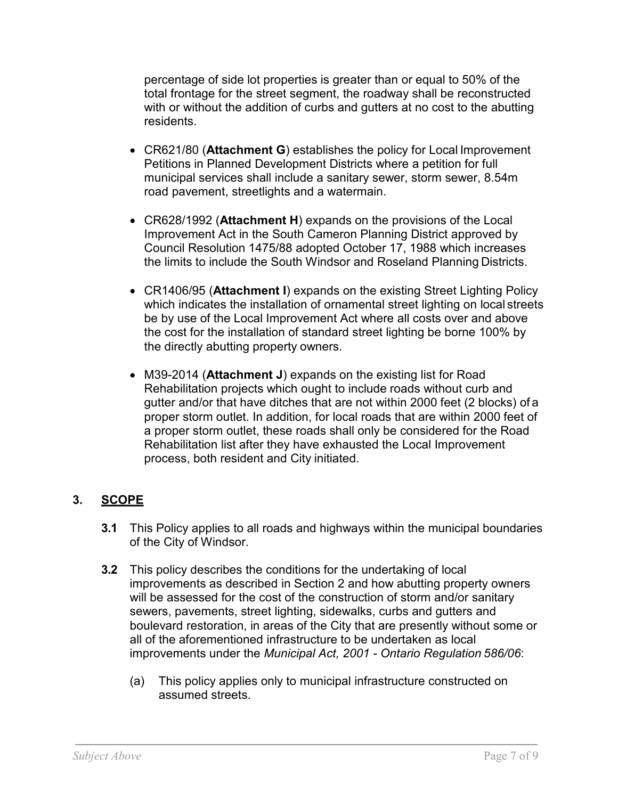percentage of side lot properties is greater than or equal to 50% of the total frontage for the street segment, the roadway shall be reconstructed with or without the addition of curbs and gutters at no cost to the abutting residents.

- CR621/80 (**Attachment G**) establishes the policy for Local Improvement Petitions in Planned Development Districts where a petition for full municipal services shall include a sanitary sewer, storm sewer, 8.54m road pavement, streetlights and a watermain.
- CR628/1992 (**Attachment H**) expands on the provisions of the Local Improvement Act in the South Cameron Planning District approved by Council Resolution 1475/88 adopted October 17, 1988 which increases the limits to include the South Windsor and Roseland Planning Districts.
- CR1406/95 (**Attachment I**) expands on the existing Street Lighting Policy which indicates the installation of ornamental street lighting on local streets be by use of the Local Improvement Act where all costs over and above the cost for the installation of standard street lighting be borne 100% by the directly abutting property owners.
- M39-2014 (**Attachment J**) expands on the existing list for Road Rehabilitation projects which ought to include roads without curb and gutter and/or that have ditches that are not within 2000 feet (2 blocks) of a proper storm outlet. In addition, for local roads that are within 2000 feet of a proper storm outlet, these roads shall only be considered for the Road Rehabilitation list after they have exhausted the Local Improvement process, both resident and City initiated.

# **3. SCOPE**

- **3.1** This Policy applies to all roads and highways within the municipal boundaries of the City of Windsor.
- **3.2** This policy describes the conditions for the undertaking of local improvements as described in Section 2 and how abutting property owners will be assessed for the cost of the construction of storm and/or sanitary sewers, pavements, street lighting, sidewalks, curbs and gutters and boulevard restoration, in areas of the City that are presently without some or all of the aforementioned infrastructure to be undertaken as local improvements under the *Municipal Act, 2001 - Ontario Regulation 586/06*:
	- (a) This policy applies only to municipal infrastructure constructed on assumed streets.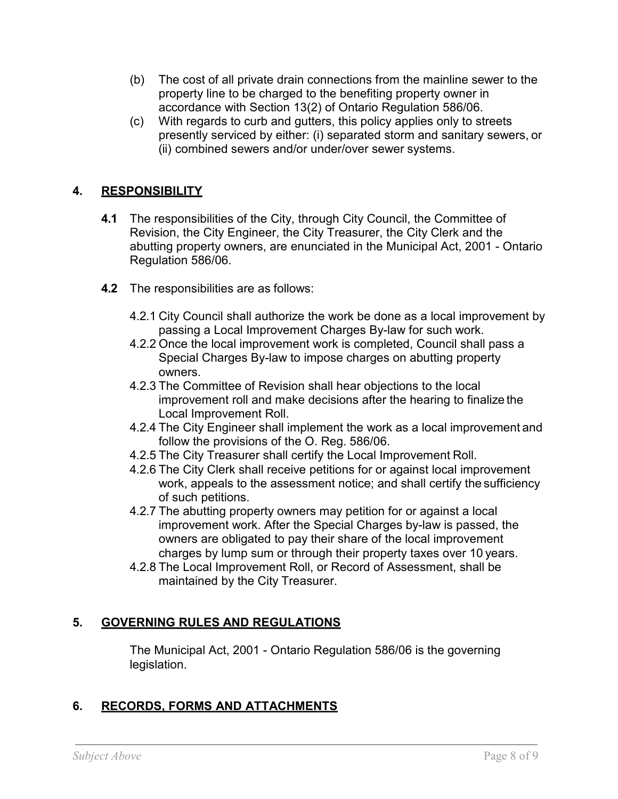- (b) The cost of all private drain connections from the mainline sewer to the property line to be charged to the benefiting property owner in accordance with Section 13(2) of Ontario Regulation 586/06.
- (c) With regards to curb and gutters, this policy applies only to streets presently serviced by either: (i) separated storm and sanitary sewers, or (ii) combined sewers and/or under/over sewer systems.

# **4. RESPONSIBILITY**

- **4.1** The responsibilities of the City, through City Council, the Committee of Revision, the City Engineer, the City Treasurer, the City Clerk and the abutting property owners, are enunciated in the Municipal Act, 2001 - Ontario Regulation 586/06.
- **4.2** The responsibilities are as follows:
	- 4.2.1 City Council shall authorize the work be done as a local improvement by passing a Local Improvement Charges By-law for such work.
	- 4.2.2 Once the local improvement work is completed, Council shall pass a Special Charges By-law to impose charges on abutting property owners.
	- 4.2.3 The Committee of Revision shall hear objections to the local improvement roll and make decisions after the hearing to finalize the Local Improvement Roll.
	- 4.2.4 The City Engineer shall implement the work as a local improvement and follow the provisions of the O. Reg. 586/06.
	- 4.2.5 The City Treasurer shall certify the Local Improvement Roll.
	- 4.2.6 The City Clerk shall receive petitions for or against local improvement work, appeals to the assessment notice; and shall certify the sufficiency of such petitions.
	- 4.2.7 The abutting property owners may petition for or against a local improvement work. After the Special Charges by-law is passed, the owners are obligated to pay their share of the local improvement charges by lump sum or through their property taxes over 10 years.
	- 4.2.8 The Local Improvement Roll, or Record of Assessment, shall be maintained by the City Treasurer.

# **5. GOVERNING RULES AND REGULATIONS**

The Municipal Act, 2001 - Ontario Regulation 586/06 is the governing legislation.

## **6. RECORDS, FORMS AND ATTACHMENTS**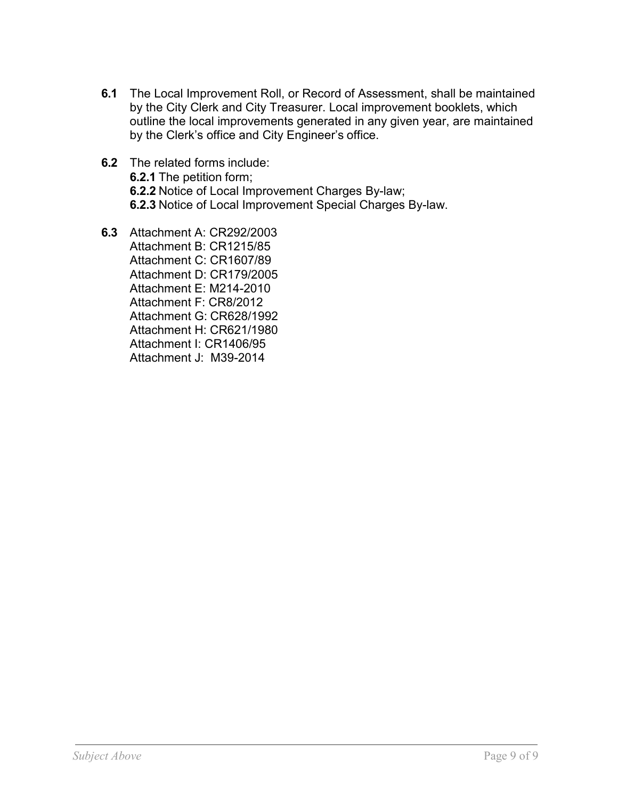- **6.1** The Local Improvement Roll, or Record of Assessment, shall be maintained by the City Clerk and City Treasurer. Local improvement booklets, which outline the local improvements generated in any given year, are maintained by the Clerk's office and City Engineer's office.
- **6.2** The related forms include: **6.2.1** The petition form; **6.2.2** Notice of Local Improvement Charges By-law; **6.2.3** Notice of Local Improvement Special Charges By-law.
- **6.3** Attachment A: CR292/2003 Attachment B: CR1215/85 Attachment C: CR1607/89 Attachment D: CR179/2005 Attachment E: M214-2010 Attachment F: CR8/2012 Attachment G: CR628/1992 Attachment H: CR621/1980 Attachment I: CR1406/95 Attachment J: M39-2014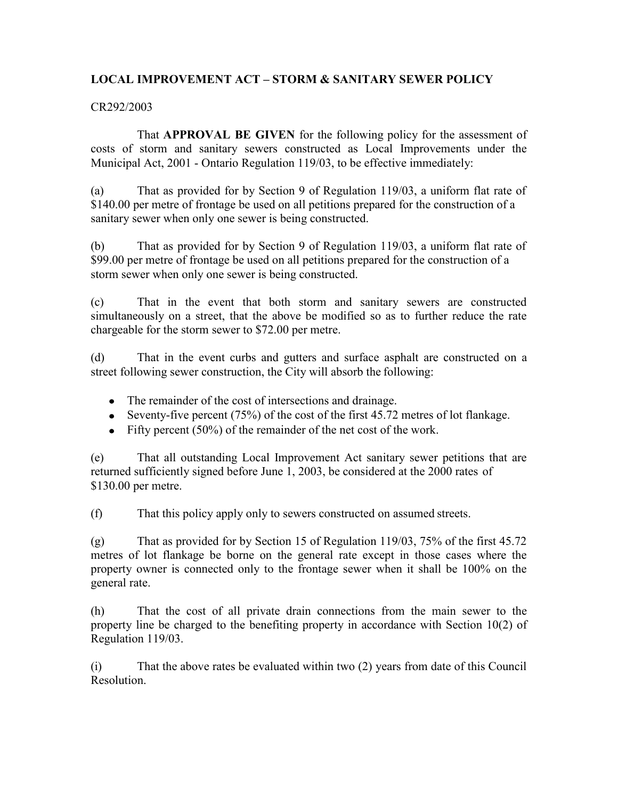### **LOCAL IMPROVEMENT ACT – STORM & SANITARY SEWER POLICY**

#### CR292/2003

That **APPROVAL BE GIVEN** for the following policy for the assessment of costs of storm and sanitary sewers constructed as Local Improvements under the Municipal Act, 2001 - Ontario Regulation 119/03, to be effective immediately:

(a) That as provided for by Section 9 of Regulation 119/03, a uniform flat rate of \$140.00 per metre of frontage be used on all petitions prepared for the construction of a sanitary sewer when only one sewer is being constructed.

(b) That as provided for by Section 9 of Regulation 119/03, a uniform flat rate of \$99.00 per metre of frontage be used on all petitions prepared for the construction of a storm sewer when only one sewer is being constructed.

(c) That in the event that both storm and sanitary sewers are constructed simultaneously on a street, that the above be modified so as to further reduce the rate chargeable for the storm sewer to \$72.00 per metre.

(d) That in the event curbs and gutters and surface asphalt are constructed on a street following sewer construction, the City will absorb the following:

- The remainder of the cost of intersections and drainage.
- Seventy-five percent  $(75%)$  of the cost of the first 45.72 metres of lot flankage.
- Fifty percent  $(50\%)$  of the remainder of the net cost of the work.

(e) That all outstanding Local Improvement Act sanitary sewer petitions that are returned sufficiently signed before June 1, 2003, be considered at the 2000 rates of \$130.00 per metre.

(f) That this policy apply only to sewers constructed on assumed streets.

(g) That as provided for by Section 15 of Regulation 119/03, 75% of the first 45.72 metres of lot flankage be borne on the general rate except in those cases where the property owner is connected only to the frontage sewer when it shall be 100% on the general rate.

(h) That the cost of all private drain connections from the main sewer to the property line be charged to the benefiting property in accordance with Section 10(2) of Regulation 119/03.

(i) That the above rates be evaluated within two (2) years from date of this Council Resolution.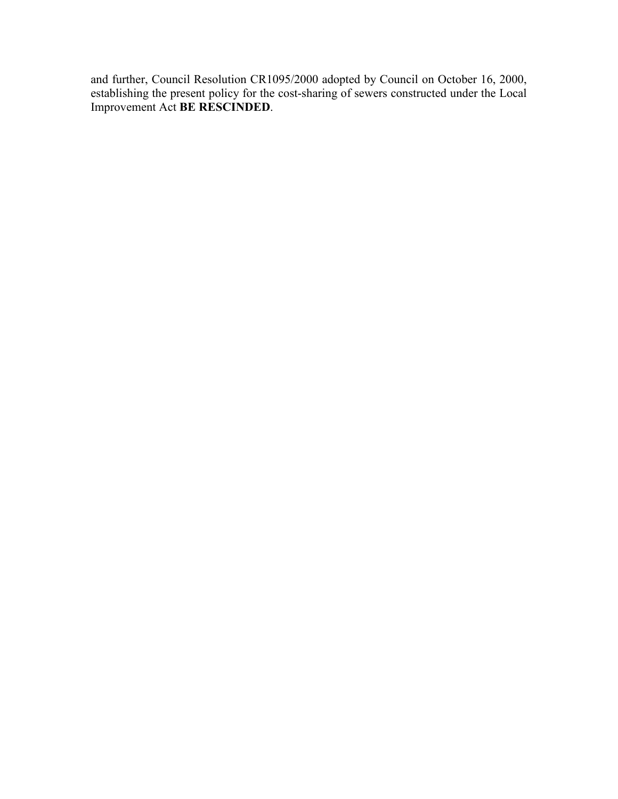and further, Council Resolution CR1095/2000 adopted by Council on October 16, 2000, establishing the present policy for the cost-sharing of sewers constructed under the Local Improvement Act **BE RESCINDED**.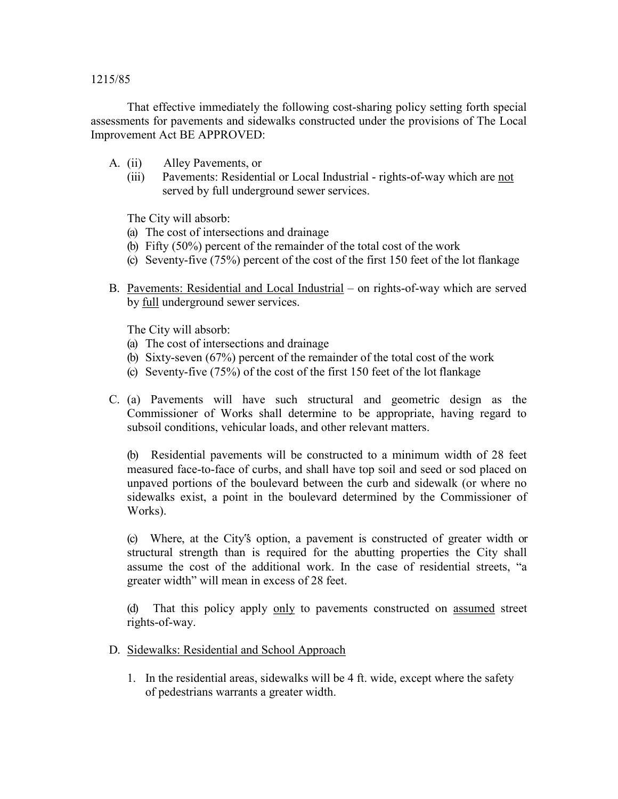#### 1215/85

That effective immediately the following cost-sharing policy setting forth special assessments for pavements and sidewalks constructed under the provisions of The Local Improvement Act BE APPROVED:

- A. (ii) Alley Pavements, or
	- (iii) Pavements: Residential or Local Industrial rights-of-way which are not served by full underground sewer services.

The City will absorb:

- (a) The cost of intersections and drainage
- (b) Fifty (50%) percent of the remainder of the total cost of the work
- (c) Seventy-five (75%) percent of the cost of the first 150 feet of the lot flankage
- B. Pavements: Residential and Local Industrial on rights-of-way which are served by full underground sewer services.

The City will absorb:

- (a) The cost of intersections and drainage
- (b) Sixty-seven (67%) percent of the remainder of the total cost of the work
- (c) Seventy-five (75%) of the cost of the first 150 feet of the lot flankage
- C. (a) Pavements will have such structural and geometric design as the Commissioner of Works shall determine to be appropriate, having regard to subsoil conditions, vehicular loads, and other relevant matters.

(b) Residential pavements will be constructed to a minimum width of 28 feet measured face-to-face of curbs, and shall have top soil and seed or sod placed on unpaved portions of the boulevard between the curb and sidewalk (or where no sidewalks exist, a point in the boulevard determined by the Commissioner of Works).

(c) Where, at the City"s option, a pavement is constructed of greater width or structural strength than is required for the abutting properties the City shall assume the cost of the additional work. In the case of residential streets, "a greater width" will mean in excess of 28 feet.

(d) That this policy apply only to pavements constructed on assumed street rights-of-way.

- D. Sidewalks: Residential and School Approach
	- 1. In the residential areas, sidewalks will be 4 ft. wide, except where the safety of pedestrians warrants a greater width.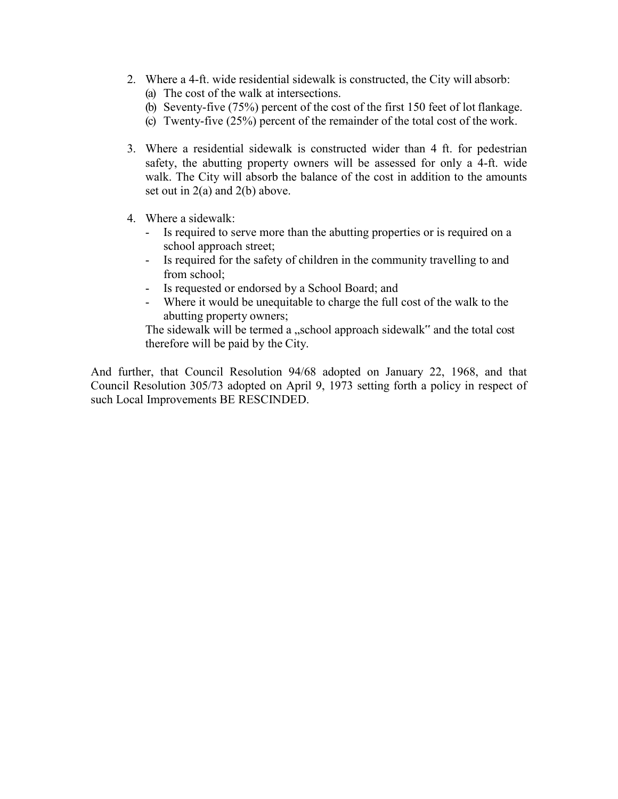- 2. Where a 4-ft. wide residential sidewalk is constructed, the City will absorb: (a) The cost of the walk at intersections.
	- (b) Seventy-five (75%) percent of the cost of the first 150 feet of lot flankage.
	- (c) Twenty-five (25%) percent of the remainder of the total cost of the work.
- 3. Where a residential sidewalk is constructed wider than 4 ft. for pedestrian safety, the abutting property owners will be assessed for only a 4-ft. wide walk. The City will absorb the balance of the cost in addition to the amounts set out in 2(a) and 2(b) above.
- 4. Where a sidewalk:
	- Is required to serve more than the abutting properties or is required on a school approach street;
	- Is required for the safety of children in the community travelling to and from school;
	- Is requested or endorsed by a School Board; and
	- Where it would be unequitable to charge the full cost of the walk to the abutting property owners;

The sidewalk will be termed a "school approach sidewalk" and the total cost therefore will be paid by the City.

And further, that Council Resolution 94/68 adopted on January 22, 1968, and that Council Resolution 305/73 adopted on April 9, 1973 setting forth a policy in respect of such Local Improvements BE RESCINDED.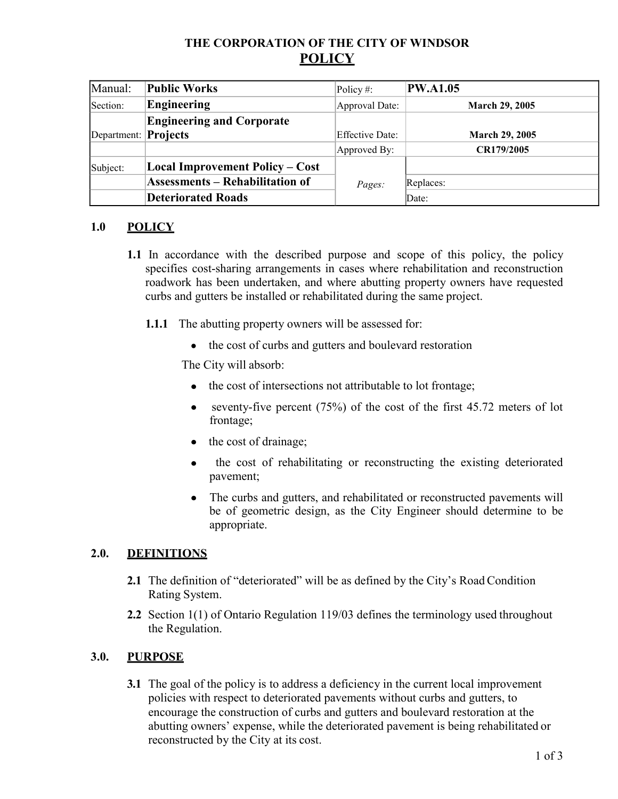# **THE CORPORATION OF THE CITY OF WINDSOR POLICY**

| Manual:                     | <b>Public Works</b>                    | Policy #:              | <b>PW.A1.05</b>       |
|-----------------------------|----------------------------------------|------------------------|-----------------------|
| Section:                    | <b>Engineering</b>                     | Approval Date:         | <b>March 29, 2005</b> |
|                             | <b>Engineering and Corporate</b>       |                        |                       |
| Department: <b>Projects</b> |                                        | <b>Effective Date:</b> | <b>March 29, 2005</b> |
|                             |                                        | Approved By:           | CR179/2005            |
| Subject:                    | <b>Local Improvement Policy – Cost</b> |                        |                       |
|                             | <b>Assessments - Rehabilitation of</b> | Pages:                 | Replaces:             |
|                             | <b>Deteriorated Roads</b>              |                        | Date:                 |

# **1.0 POLICY**

- **1.1** In accordance with the described purpose and scope of this policy, the policy specifies cost-sharing arrangements in cases where rehabilitation and reconstruction roadwork has been undertaken, and where abutting property owners have requested curbs and gutters be installed or rehabilitated during the same project.
	- **1.1.1** The abutting property owners will be assessed for:
		- the cost of curbs and gutters and boulevard restoration

The City will absorb:

- the cost of intersections not attributable to lot frontage;
- e seventy-five percent  $(75%)$  of the cost of the first 45.72 meters of lot frontage;
- the cost of drainage;
- the cost of rehabilitating or reconstructing the existing deteriorated  $\bullet$ pavement;
- The curbs and gutters, and rehabilitated or reconstructed pavements will be of geometric design, as the City Engineer should determine to be appropriate.

### **2.0. DEFINITIONS**

- **2.1** The definition of "deteriorated" will be as defined by the City's Road Condition Rating System.
- **2.2** Section 1(1) of Ontario Regulation 119/03 defines the terminology used throughout the Regulation.

### **3.0. PURPOSE**

**3.1** The goal of the policy is to address a deficiency in the current local improvement policies with respect to deteriorated pavements without curbs and gutters, to encourage the construction of curbs and gutters and boulevard restoration at the abutting owners' expense, while the deteriorated pavement is being rehabilitated or reconstructed by the City at its cost.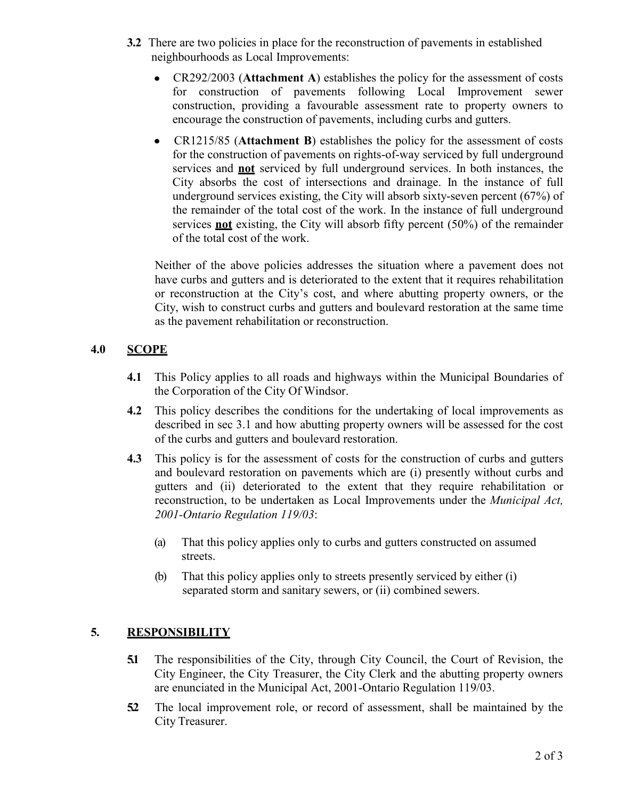- **3.2** There are two policies in place for the reconstruction of pavements in established neighbourhoods as Local Improvements:
	- CR292/2003 (**Attachment A**) establishes the policy for the assessment of costs for construction of pavements following Local Improvement sewer construction, providing a favourable assessment rate to property owners to encourage the construction of pavements, including curbs and gutters.
	- CR1215/85 (**Attachment B**) establishes the policy for the assessment of costs for the construction of pavements on rights-of-way serviced by full underground services and **not** serviced by full underground services. In both instances, the City absorbs the cost of intersections and drainage. In the instance of full underground services existing, the City will absorb sixty-seven percent (67%) of the remainder of the total cost of the work. In the instance of full underground services **not** existing, the City will absorb fifty percent (50%) of the remainder of the total cost of the work.

Neither of the above policies addresses the situation where a pavement does not have curbs and gutters and is deteriorated to the extent that it requires rehabilitation or reconstruction at the City's cost, and where abutting property owners, or the City, wish to construct curbs and gutters and boulevard restoration at the same time as the pavement rehabilitation or reconstruction.

### **4.0 SCOPE**

- **4.1** This Policy applies to all roads and highways within the Municipal Boundaries of the Corporation of the City Of Windsor.
- **4.2** This policy describes the conditions for the undertaking of local improvements as described in sec 3.1 and how abutting property owners will be assessed for the cost of the curbs and gutters and boulevard restoration.
- **4.3** This policy is for the assessment of costs for the construction of curbs and gutters and boulevard restoration on pavements which are (i) presently without curbs and gutters and (ii) deteriorated to the extent that they require rehabilitation or reconstruction, to be undertaken as Local Improvements under the *Municipal Act, 2001-Ontario Regulation 119/03*:
	- (a) That this policy applies only to curbs and gutters constructed on assumed streets.
	- (b) That this policy applies only to streets presently serviced by either (i) separated storm and sanitary sewers, or (ii) combined sewers.

### **5. RESPONSIBILITY**

- **5.1** The responsibilities of the City, through City Council, the Court of Revision, the City Engineer, the City Treasurer, the City Clerk and the abutting property owners are enunciated in the Municipal Act, 2001-Ontario Regulation 119/03.
- **5.2** The local improvement role, or record of assessment, shall be maintained by the City Treasurer.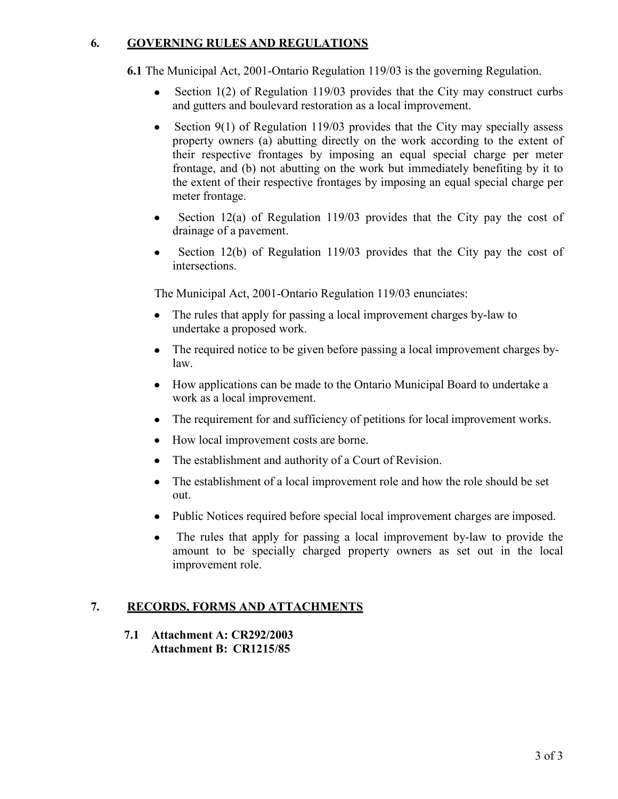## **6. GOVERNING RULES AND REGULATIONS**

**6.1** The Municipal Act, 2001-Ontario Regulation 119/03 is the governing Regulation.

- Section 1(2) of Regulation 119/03 provides that the City may construct curbs  $\bullet$ and gutters and boulevard restoration as a local improvement.
- $\bullet$ Section 9(1) of Regulation 119/03 provides that the City may specially assess property owners (a) abutting directly on the work according to the extent of their respective frontages by imposing an equal special charge per meter frontage, and (b) not abutting on the work but immediately benefiting by it to the extent of their respective frontages by imposing an equal special charge per meter frontage.
- Section 12(a) of Regulation 119/03 provides that the City pay the cost of drainage of a pavement.
- Section 12(b) of Regulation 119/03 provides that the City pay the cost of  $\bullet$ intersections.

The Municipal Act, 2001-Ontario Regulation 119/03 enunciates:

- The rules that apply for passing a local improvement charges by-law to undertake a proposed work.
- The required notice to be given before passing a local improvement charges by- $\bullet$ law.
- How applications can be made to the Ontario Municipal Board to undertake a work as a local improvement.
- The requirement for and sufficiency of petitions for local improvement works.
- How local improvement costs are borne.
- The establishment and authority of a Court of Revision.
- The establishment of a local improvement role and how the role should be set  $\bullet$ out.
- Public Notices required before special local improvement charges are imposed.
- The rules that apply for passing a local improvement by-law to provide the amount to be specially charged property owners as set out in the local improvement role.

# **7. RECORDS, FORMS AND ATTACHMENTS**

**7.1 Attachment A: CR292/2003 Attachment B: CR1215/85**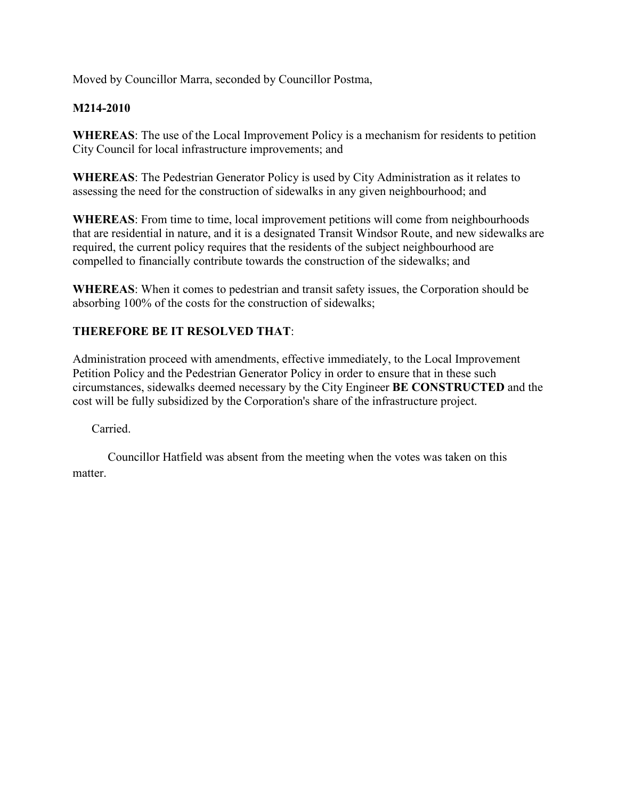Moved by Councillor Marra, seconded by Councillor Postma,

## **M214-2010**

**WHEREAS**: The use of the Local Improvement Policy is a mechanism for residents to petition City Council for local infrastructure improvements; and

**WHEREAS**: The Pedestrian Generator Policy is used by City Administration as it relates to assessing the need for the construction of sidewalks in any given neighbourhood; and

**WHEREAS**: From time to time, local improvement petitions will come from neighbourhoods that are residential in nature, and it is a designated Transit Windsor Route, and new sidewalks are required, the current policy requires that the residents of the subject neighbourhood are compelled to financially contribute towards the construction of the sidewalks; and

**WHEREAS**: When it comes to pedestrian and transit safety issues, the Corporation should be absorbing 100% of the costs for the construction of sidewalks;

## **THEREFORE BE IT RESOLVED THAT**:

Administration proceed with amendments, effective immediately, to the Local Improvement Petition Policy and the Pedestrian Generator Policy in order to ensure that in these such circumstances, sidewalks deemed necessary by the City Engineer **BE CONSTRUCTED** and the cost will be fully subsidized by the Corporation's share of the infrastructure project.

Carried.

Councillor Hatfield was absent from the meeting when the votes was taken on this matter.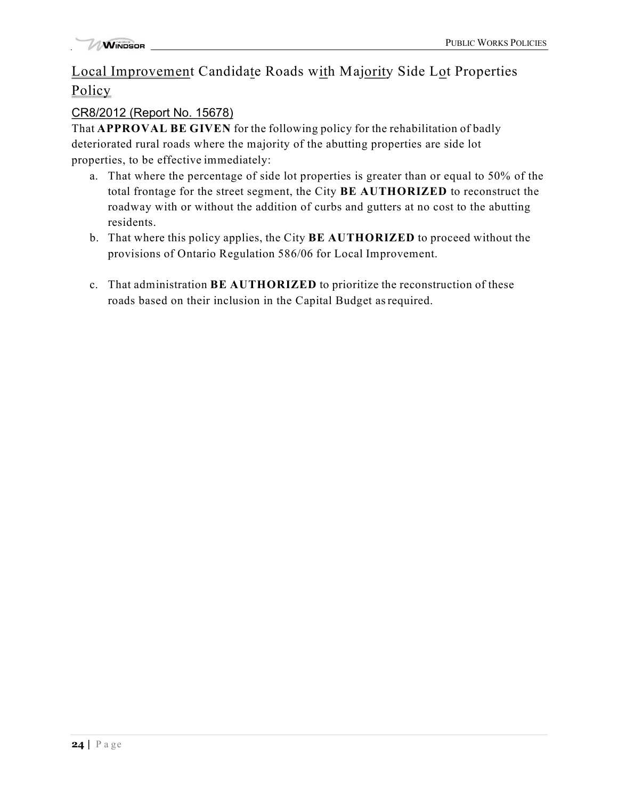# Local Improvement Candidate Roads with Majority Side Lot Properties **Policy**

# CR8/2012 (Report No. 15678)

That **APPROVAL BE GIVEN** for the following policy for the rehabilitation of badly deteriorated rural roads where the majority of the abutting properties are side lot properties, to be effective immediately:

- a. That where the percentage of side lot properties is greater than or equal to 50% of the total frontage for the street segment, the City **BE AUTHORIZED** to reconstruct the roadway with or without the addition of curbs and gutters at no cost to the abutting residents.
- b. That where this policy applies, the City **BE AUTHORIZED** to proceed without the provisions of Ontario Regulation 586/06 for Local Improvement.
- c. That administration **BE AUTHORIZED** to prioritize the reconstruction of these roads based on their inclusion in the Capital Budget asrequired.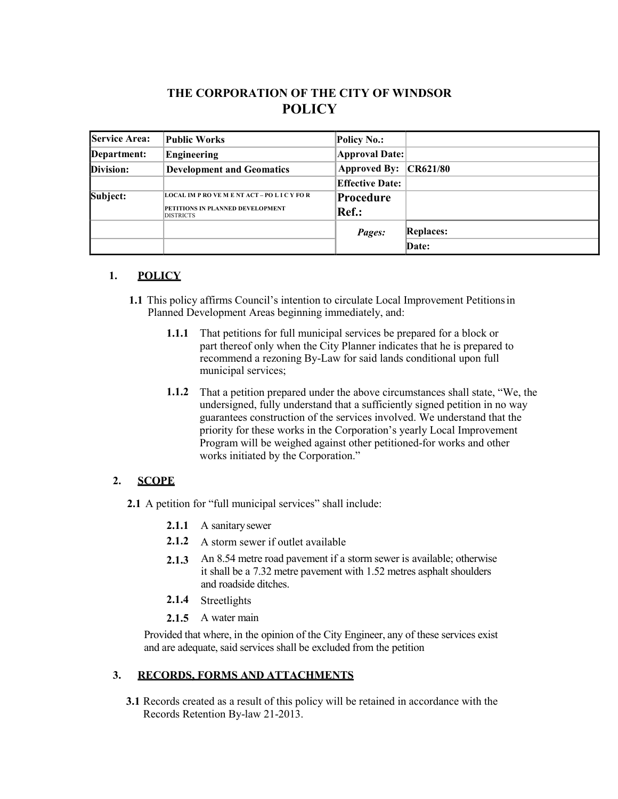# **THE CORPORATION OF THE CITY OF WINDSOR POLICY**

| <b>Service Area:</b> | Public Works                                         | <b>Policy No.:</b>     |                  |
|----------------------|------------------------------------------------------|------------------------|------------------|
| Department:          | Engineering                                          | <b>Approval Date:</b>  |                  |
| Division:            | <b>Development and Geomatics</b>                     | Approved By: CR621/80  |                  |
|                      |                                                      | <b>Effective Date:</b> |                  |
| Subject:             | <b>LOCAL IM P RO VE M E NT ACT - PO L I C Y FO R</b> | Procedure              |                  |
|                      | PETITIONS IN PLANNED DEVELOPMENT<br><b>DISTRICTS</b> | Ref.:                  |                  |
|                      |                                                      | Pages:                 | <b>Replaces:</b> |
|                      |                                                      |                        | Date:            |

#### **1. POLICY**

- **1.1** This policy affirms Council's intention to circulate Local Improvement Petitionsin Planned Development Areas beginning immediately, and:
	- **1.1.1** That petitions for full municipal services be prepared for a block or part thereof only when the City Planner indicates that he is prepared to recommend a rezoning By-Law for said lands conditional upon full municipal services;
	- **1.1.2** That a petition prepared under the above circumstances shall state, "We, the undersigned, fully understand that a sufficiently signed petition in no way guarantees construction of the services involved. We understand that the priority for these works in the Corporation's yearly Local Improvement Program will be weighed against other petitioned-for works and other works initiated by the Corporation."

#### **2. SCOPE**

- **2.1** A petition for "full municipal services" shall include:
	- **2.1.1** A sanitarysewer
	- **2.1.2** A storm sewer if outlet available
	- **2.1.3** An 8.54 metre road pavement if a storm sewer is available; otherwise it shall be a 7.32 metre pavement with 1.52 metres asphalt shoulders and roadside ditches.
	- **2.1.4** Streetlights
	- **2.1.5** A water main

Provided that where, in the opinion of the City Engineer, any of these services exist and are adequate, said services shall be excluded from the petition

#### **3. RECORDS, FORMS AND ATTACHMENTS**

**3.1** Records created as a result of this policy will be retained in accordance with the Records Retention By-law 21-2013.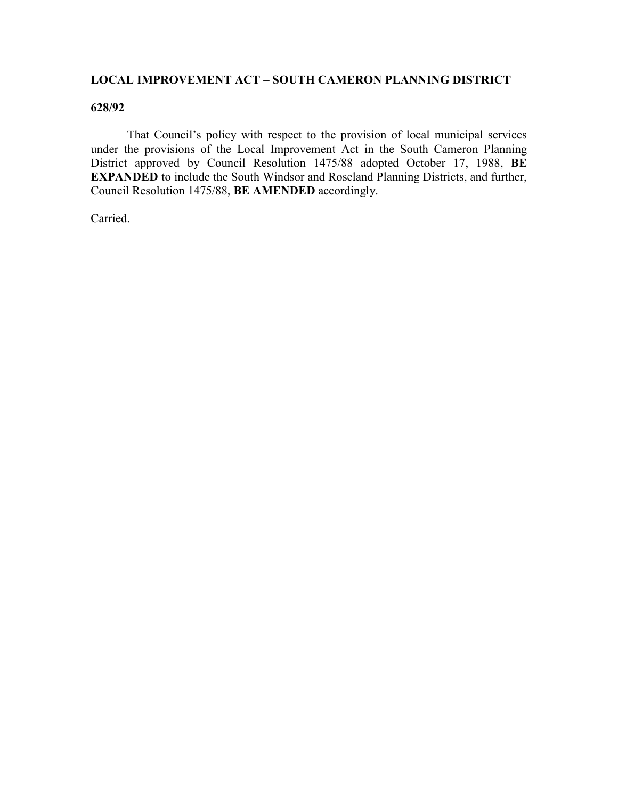### **LOCAL IMPROVEMENT ACT – SOUTH CAMERON PLANNING DISTRICT**

#### **628/92**

That Council's policy with respect to the provision of local municipal services under the provisions of the Local Improvement Act in the South Cameron Planning District approved by Council Resolution 1475/88 adopted October 17, 1988, **BE EXPANDED** to include the South Windsor and Roseland Planning Districts, and further, Council Resolution 1475/88, **BE AMENDED** accordingly.

Carried.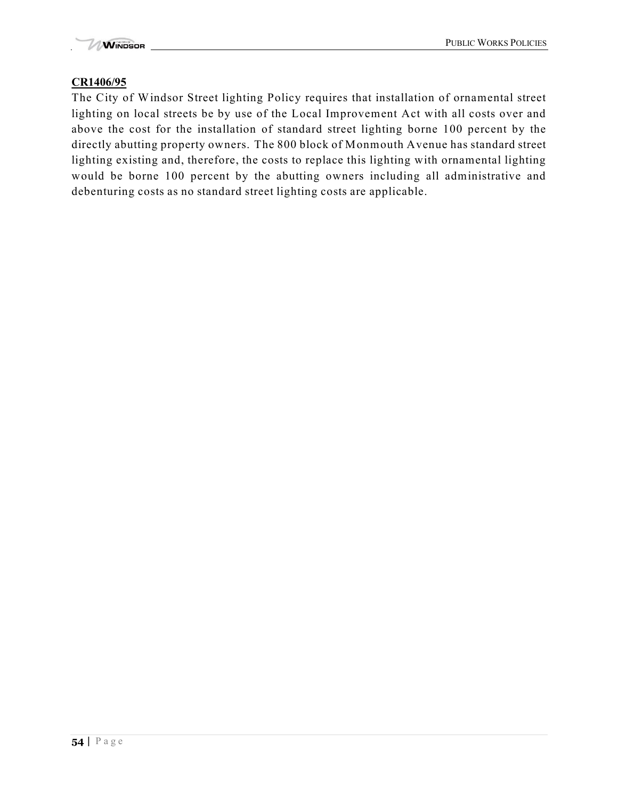## **CR1406/95**

The City of Windsor Street lighting Policy requires that installation of ornamental street lighting on local streets be by use of the Local Improvement Act with all costs over and above the cost for the installation of standard street lighting borne 100 percent by the directly abutting property owners. The 800 block of Monmouth Avenue has standard street lighting existing and, therefore, the costs to replace this lighting with ornamental lighting would be borne 100 percent by the abutting owners including all administrative and debenturing costs as no standard street lighting costs are applicable.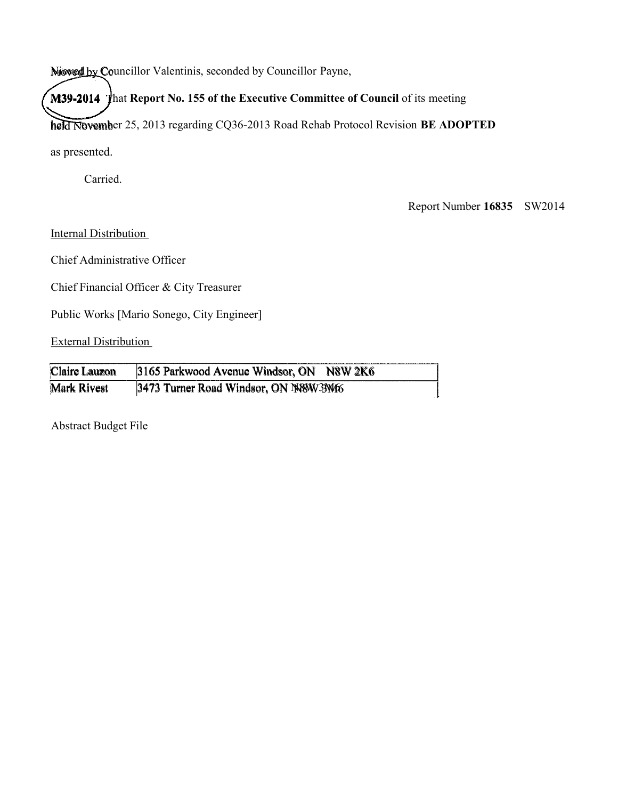Niowed by Councillor Valentinis, seconded by Councillor Payne,

**M39-2014** That **Report No. 155 of the Executive Committee of Council** of its meeting

held November 25, 2013 regarding CQ36-2013 Road Rehab Protocol Revision **BE ADOPTED** 

as presented.

Carried.

Report Number **16835** SW2014

Internal Distribution

Chief Administrative Officer

Chief Financial Officer & City Treasurer

Public Works [Mario Sonego, City Engineer]

External Distribution

| Claire Lauzon | 3165 Parkwood Avenue Windsor, ON N8W 2K6 |  |
|---------------|------------------------------------------|--|
| Mark Rivest   | 3473 Turner Road Windsor, ON N88W33Wf6   |  |

Abstract Budget File